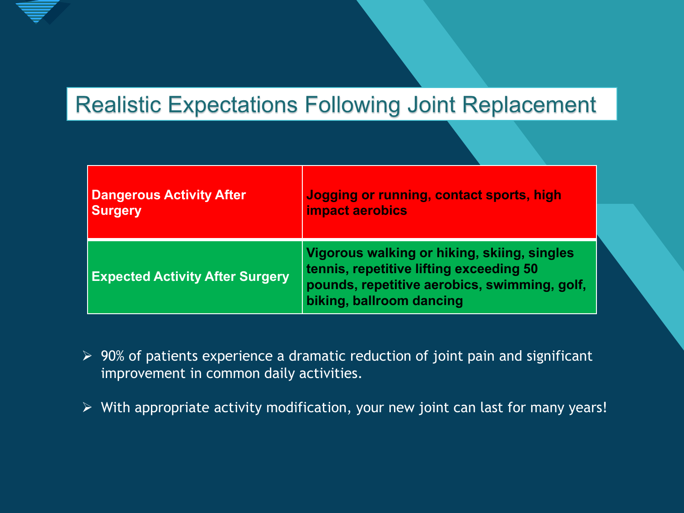

### **Realistic Expectations Following Joint Replacement**

| <b>Dangerous Activity After</b>        | Jogging or running, contact sports, high                                                                                                                           |
|----------------------------------------|--------------------------------------------------------------------------------------------------------------------------------------------------------------------|
| <b>Surgery</b>                         | <b>impact aerobics</b>                                                                                                                                             |
| <b>Expected Activity After Surgery</b> | Vigorous walking or hiking, skiing, singles<br>tennis, repetitive lifting exceeding 50<br>pounds, repetitive aerobics, swimming, golf,<br>biking, ballroom dancing |

- $\triangleright$  90% of patients experience a dramatic reduction of joint pain and significant improvement in common daily activities.
- $\triangleright$  With appropriate activity modification, your new joint can last for many years!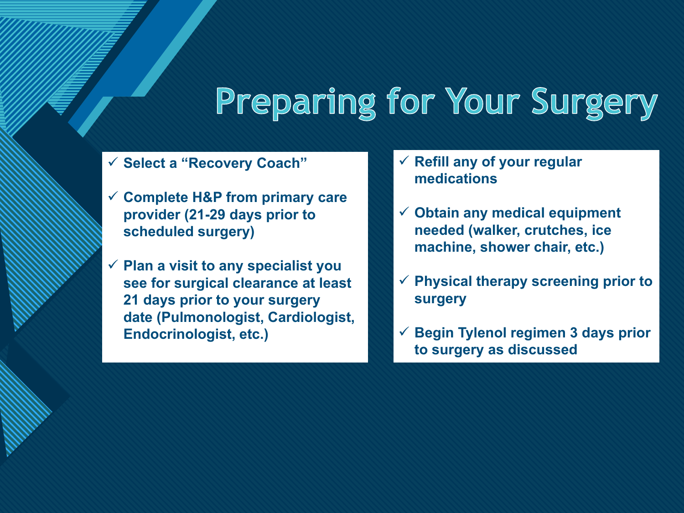## **Preparing for Your Surgery**

**Select a "Recovery Coach"**

**COLLEGE TO EXECUTE** 

- **Complete H&P from primary care provider (21-29 days prior to scheduled surgery)**
- **Plan a visit to any specialist you see for surgical clearance at least 21 days prior to your surgery date (Pulmonologist, Cardiologist, Endocrinologist, etc.)**
- **Refill any of your regular medications**
- **Obtain any medical equipment needed (walker, crutches, ice machine, shower chair, etc.)**
- **Physical therapy screening prior to surgery**
- **Begin Tylenol regimen 3 days prior to surgery as discussed**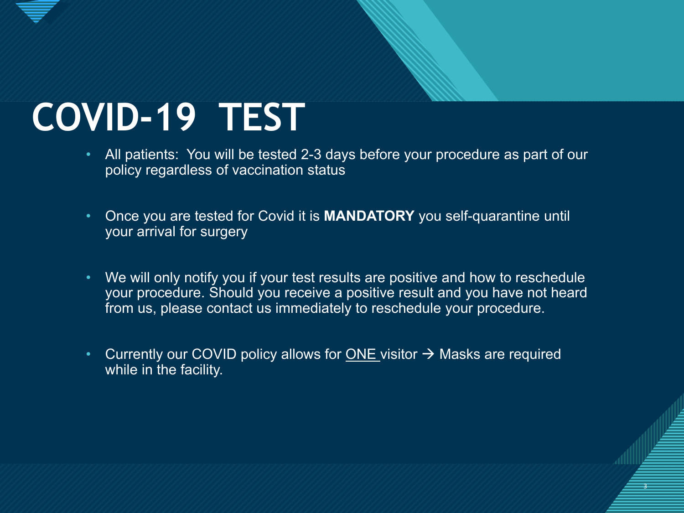# **COVID-19 TEST**

- All patients: You will be tested 2-3 days before your procedure as part of our policy regardless of vaccination status
- Once you are tested for Covid it is **MANDATORY** you self-quarantine until your arrival for surgery
- We will only notify you if your test results are positive and how to reschedule your procedure. Should you receive a positive result and you have not heard from us, please contact us immediately to reschedule your procedure.
- Currently our COVID policy allows for ONE visitor  $\rightarrow$  Masks are required while in the facility.

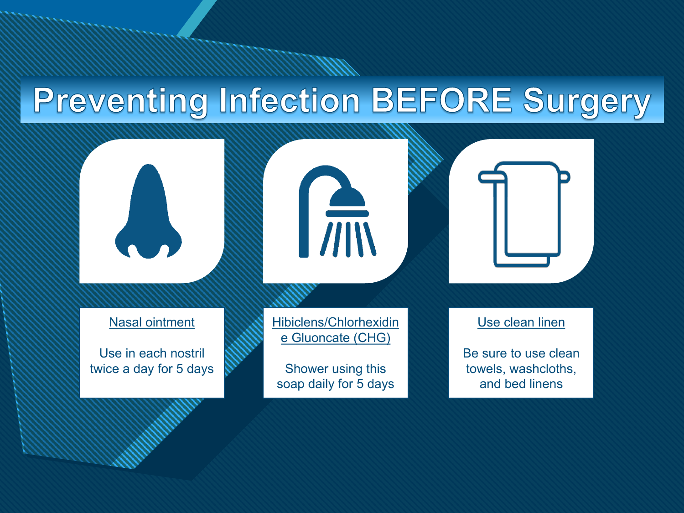### **Preventing Infection BEFORE Surgery**

**Click to edit Master title style**

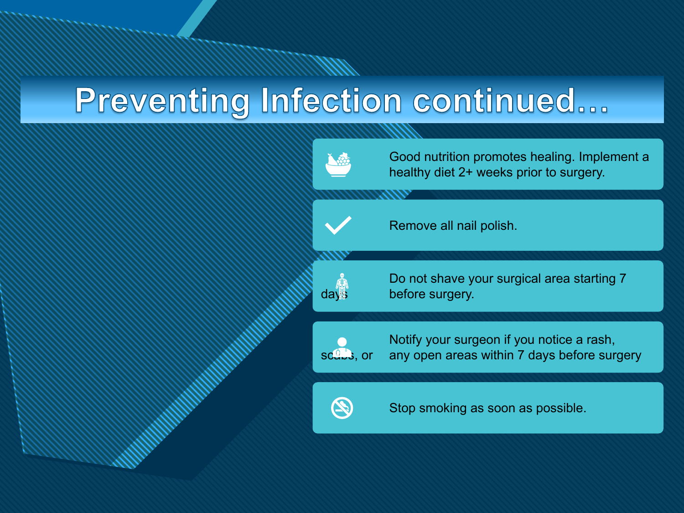### Preventing Infection continued...

**Click to edit Master title style**

Good nutrition promotes healing. Implement a healthy diet 2+ weeks prior to surgery. Remove all nail polish. Do not shave your surgical area starting 7  $\mathbb{R}$  bo not shave y<br>days before surgery. Notify your surgeon if you notice a rash, scales, or any open areas within 7 days before surgery



Stop smoking as soon as possible.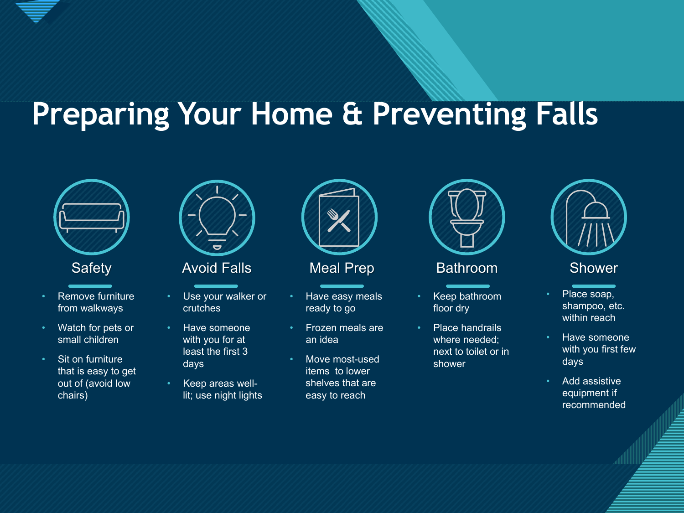

### **Preparing Your Home & Preventing Falls**





- Remove furniture from walkways
- Watch for pets or small children
- Sit on furniture that is easy to get out of (avoid low chairs)



Safety **Avoid Falls** Meal Prep Bathroom Shower

- Use your walker or crutches
- Have someone with you for at least the first 3 days
- Keep areas welllit; use night lights



- Have easy meals ready to go
- Frozen meals are an idea
- Move most-used items to lower shelves that are easy to reach



- Keep bathroom floor dry
- Place handrails where needed; next to toilet or in shower



- Place soap, shampoo, etc. within reach
- Have someone with you first few days
- Add assistive equipment if recommended

6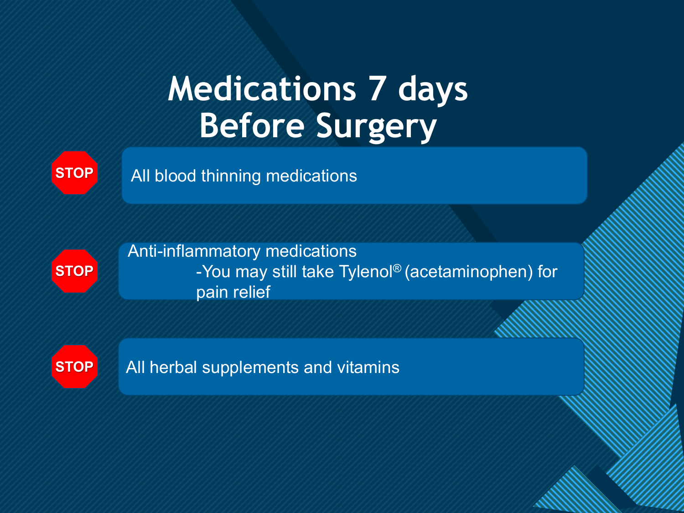### **Medications 7 days Before Surgery**

**STOP**

All blood thinning medications



Anti-inflammatory medications -You may still take Tylenol® (acetaminophen) for pain relief

7

**STOP**

All herbal supplements and vitamins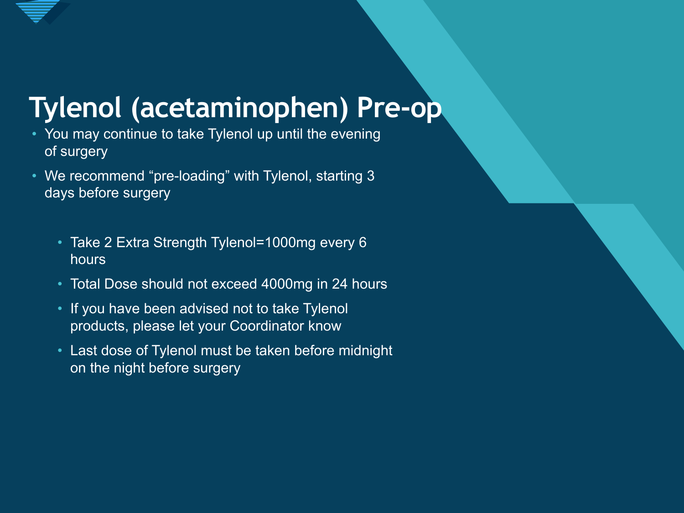### **Tylenol (acetaminophen) Pre-op**

- You may continue to take Tylenol up until the evening of surgery
- We recommend "pre-loading" with Tylenol, starting 3 days before surgery
	- Take 2 Extra Strength Tylenol=1000mg every 6 hours
	- Total Dose should not exceed 4000mg in 24 hours
	- If you have been advised not to take Tylenol products, please let your Coordinator know
	- Last dose of Tylenol must be taken before midnight on the night before surgery